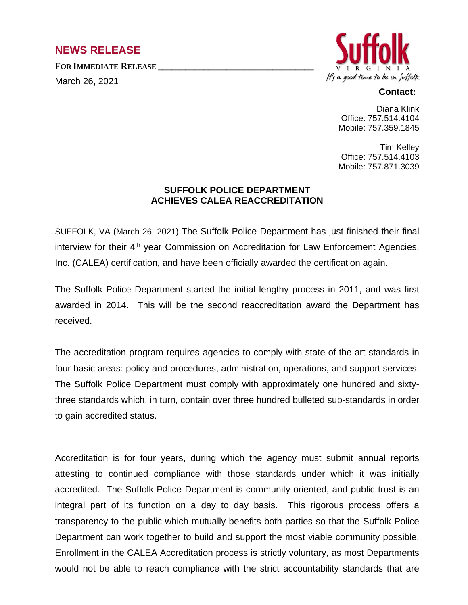## **NEWS RELEASE**

**FOR IMMEDIATE RELEASE \_\_\_\_\_\_\_\_\_\_\_\_\_\_\_\_\_\_\_\_\_\_\_\_\_\_\_\_\_\_\_\_\_\_**

March 26, 2021



## **Contact:**

Diana Klink Office: 757.514.4104 Mobile: 757.359.1845

Tim Kelley Office: 757.514.4103 Mobile: 757.871.3039

## **SUFFOLK POLICE DEPARTMENT ACHIEVES CALEA REACCREDITATION**

SUFFOLK, VA (March 26, 2021) The Suffolk Police Department has just finished their final interview for their 4<sup>th</sup> year Commission on Accreditation for Law Enforcement Agencies, Inc. (CALEA) certification, and have been officially awarded the certification again.

The Suffolk Police Department started the initial lengthy process in 2011, and was first awarded in 2014. This will be the second reaccreditation award the Department has received.

The accreditation program requires agencies to comply with state-of-the-art standards in four basic areas: policy and procedures, administration, operations, and support services. The Suffolk Police Department must comply with approximately one hundred and sixtythree standards which, in turn, contain over three hundred bulleted sub-standards in order to gain accredited status.

Accreditation is for four years, during which the agency must submit annual reports attesting to continued compliance with those standards under which it was initially accredited. The Suffolk Police Department is community-oriented, and public trust is an integral part of its function on a day to day basis. This rigorous process offers a transparency to the public which mutually benefits both parties so that the Suffolk Police Department can work together to build and support the most viable community possible. Enrollment in the CALEA Accreditation process is strictly voluntary, as most Departments would not be able to reach compliance with the strict accountability standards that are